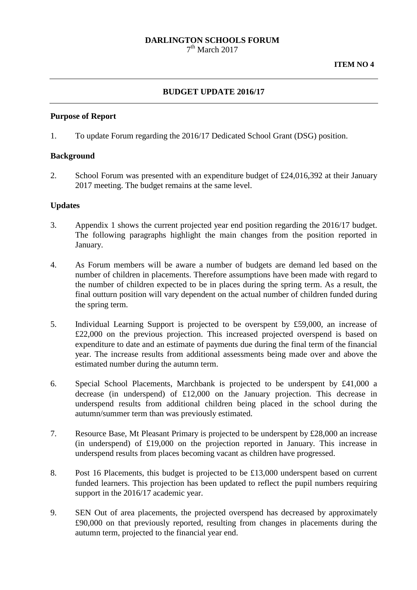# **DARLINGTON SCHOOLS FORUM**

 $7<sup>th</sup>$  March 2017

## **BUDGET UPDATE 2016/17**

#### **Purpose of Report**

1. To update Forum regarding the 2016/17 Dedicated School Grant (DSG) position.

## **Background**

2. School Forum was presented with an expenditure budget of £24,016,392 at their January 2017 meeting. The budget remains at the same level.

#### **Updates**

- 3. Appendix 1 shows the current projected year end position regarding the 2016/17 budget. The following paragraphs highlight the main changes from the position reported in January.
- 4. As Forum members will be aware a number of budgets are demand led based on the number of children in placements. Therefore assumptions have been made with regard to the number of children expected to be in places during the spring term. As a result, the final outturn position will vary dependent on the actual number of children funded during the spring term.
- 5. Individual Learning Support is projected to be overspent by £59,000, an increase of £22,000 on the previous projection. This increased projected overspend is based on expenditure to date and an estimate of payments due during the final term of the financial year. The increase results from additional assessments being made over and above the estimated number during the autumn term.
- 6. Special School Placements, Marchbank is projected to be underspent by £41,000 a decrease (in underspend) of £12,000 on the January projection. This decrease in underspend results from additional children being placed in the school during the autumn/summer term than was previously estimated.
- 7. Resource Base, Mt Pleasant Primary is projected to be underspent by £28,000 an increase (in underspend) of £19,000 on the projection reported in January. This increase in underspend results from places becoming vacant as children have progressed.
- 8. Post 16 Placements, this budget is projected to be £13,000 underspent based on current funded learners. This projection has been updated to reflect the pupil numbers requiring support in the 2016/17 academic year.
- 9. SEN Out of area placements, the projected overspend has decreased by approximately £90,000 on that previously reported, resulting from changes in placements during the autumn term, projected to the financial year end.